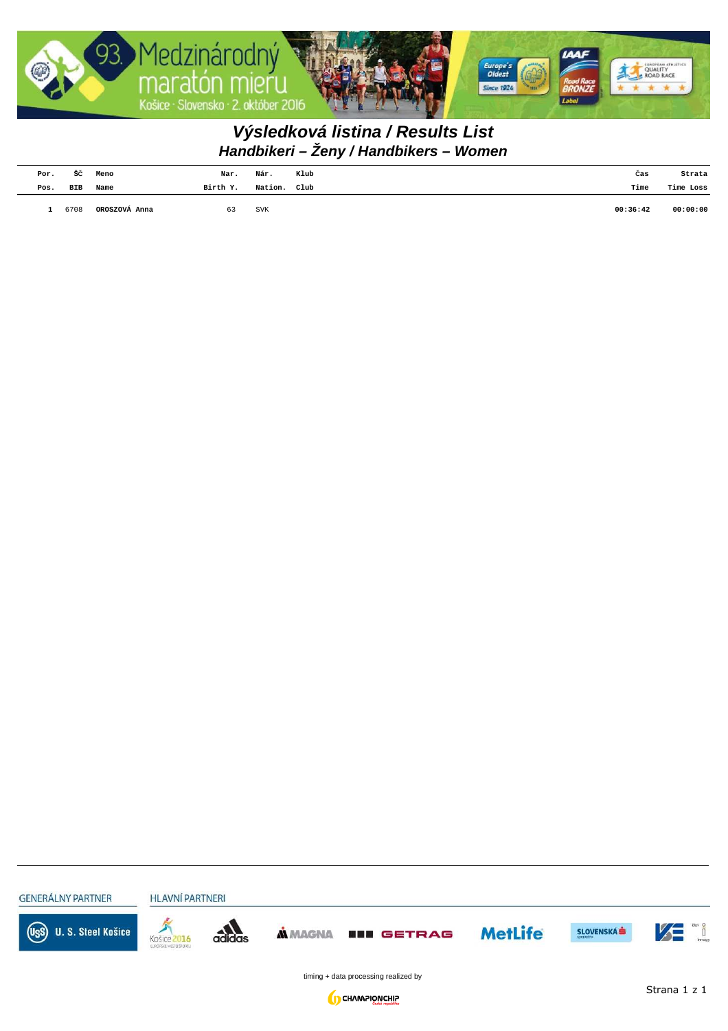

## **Handbikeri – Ženy / Handbikers – Women Výsledková listina / Results List**

| Por. | šč   | Meno          | Nar.     | Nár.                             | Klub | Cas      | Strata    |
|------|------|---------------|----------|----------------------------------|------|----------|-----------|
| Pos. | BIB  | Name          | Birth Y. | Nation. Club                     |      | Time     | Time Loss |
|      | 6708 | OROSZOVÁ Anna | 63       | $_{\mbox{\footnotesize\rm SVK}}$ |      | 00:36:42 | 00:00:00  |

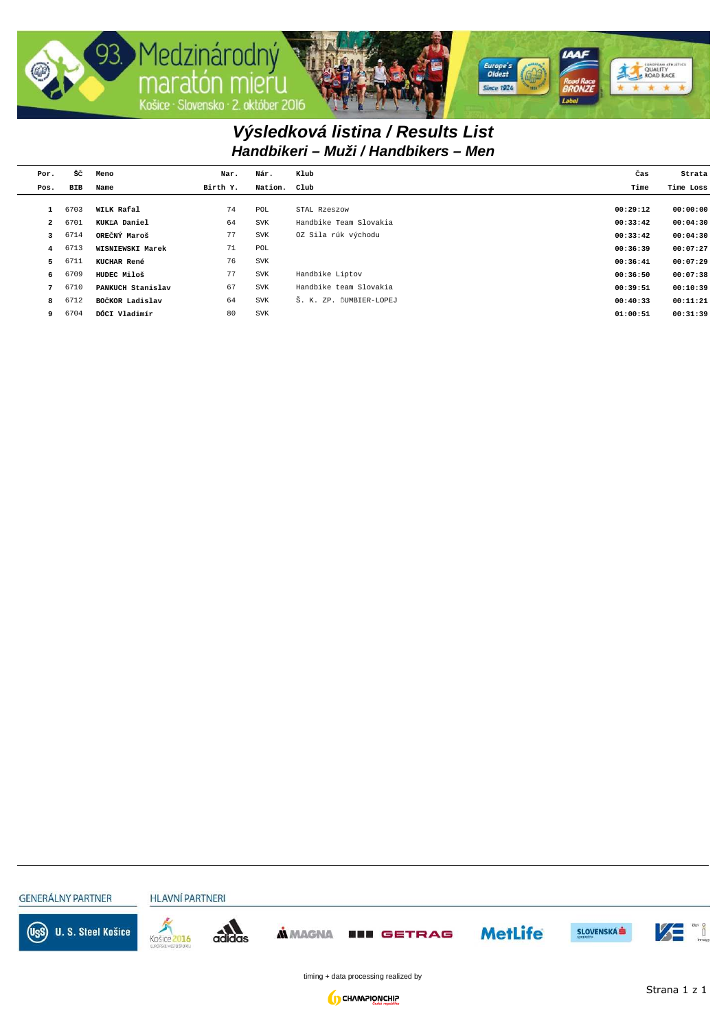

## **Handbikeri – Muži / Handbikers – Men Výsledková listina / Results List**

| Por.           | šč         | Meno              | Nar.     | Nár.         | Klub                                  | Čas      | Strata    |
|----------------|------------|-------------------|----------|--------------|---------------------------------------|----------|-----------|
| Pos.           | <b>BIB</b> | Name              | Birth Y. | Nation. Club |                                       | Time     | Time Loss |
|                |            |                   |          |              |                                       |          |           |
|                | 6703       | WILK Rafal        | 74       | POL          | STAL Rzeszow                          | 00:29:12 | 00:00:00  |
| $\overline{a}$ | 6701       | KUKLA Daniel      | 64       | <b>SVK</b>   | Handbike Team Slovakia                | 00:33:42 | 00:04:30  |
| 3              | 6714       | OREČNÝ Maroš      | 77       | <b>SVK</b>   | OZ Sila rúk východu                   | 00:33:42 | 00:04:30  |
| $\overline{4}$ | 6713       | WISNIEWSKI Marek  | 71       | POL          |                                       | 00:36:39 | 00:07:27  |
| 5              | 6711       | KUCHAR René       | 76       | <b>SVK</b>   |                                       | 00:36:41 | 00:07:29  |
| 6              | 6709       | HUDEC Miloš       | 77       | <b>SVK</b>   | Handbike Liptov                       | 00:36:50 | 00:07:38  |
| $7^{\circ}$    | 6710       | PANKUCH Stanislav | 67       | <b>SVK</b>   | Handbike team Slovakia                | 00:39:51 | 00:10:39  |
| 8              | 6712       | BOČKOR Ladislav   | 64       | <b>SVK</b>   | ZP. ĎUMBIER-LOPEJ<br>$\tilde{S}$ . K. | 00:40:33 | 00:11:21  |
| 9              | 6704       | DÓCI Vladimír     | 80       | <b>SVK</b>   |                                       | 01:00:51 | 00:31:39  |
|                |            |                   |          |              |                                       |          |           |

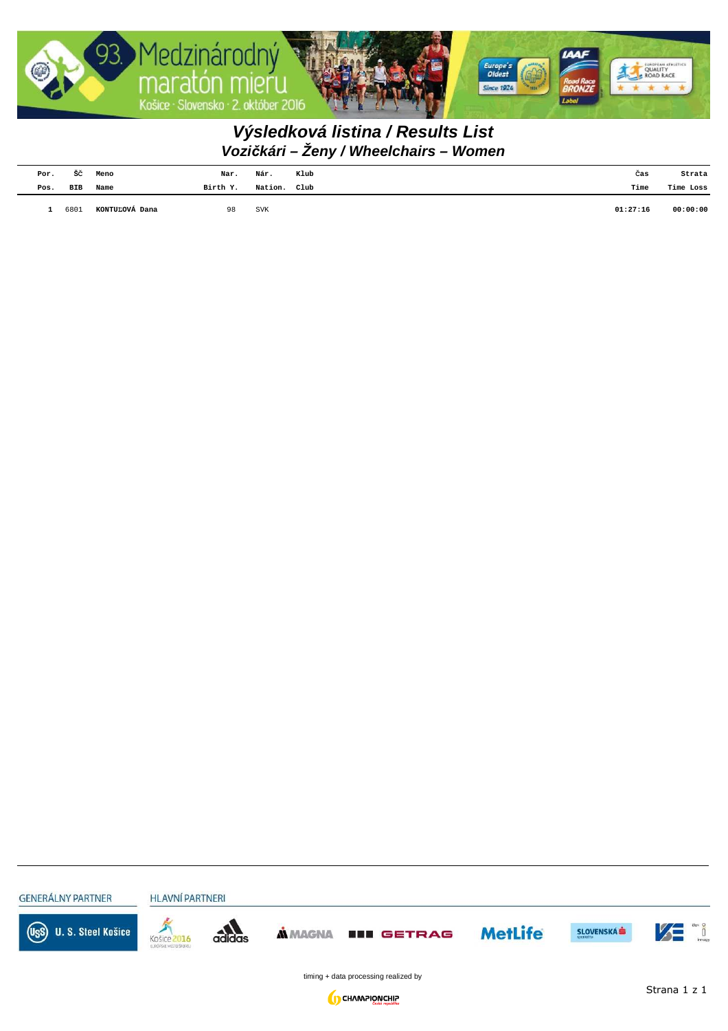

## **Vozi***č***kári – Ženy / Wheelchairs – Women Výsledková listina / Results List**

| Por. | šč   | Meno           | Nar.     | Nár.         | Klub | Cas      | Strata    |
|------|------|----------------|----------|--------------|------|----------|-----------|
| Pos. | BIB  | Name           | Birth Y. | Nation. Club |      | Time     | Time Loss |
|      | 6801 | KONTUĽOVÁ Dana | 98       | SVK          |      | 01:27:16 | 00:00:00  |